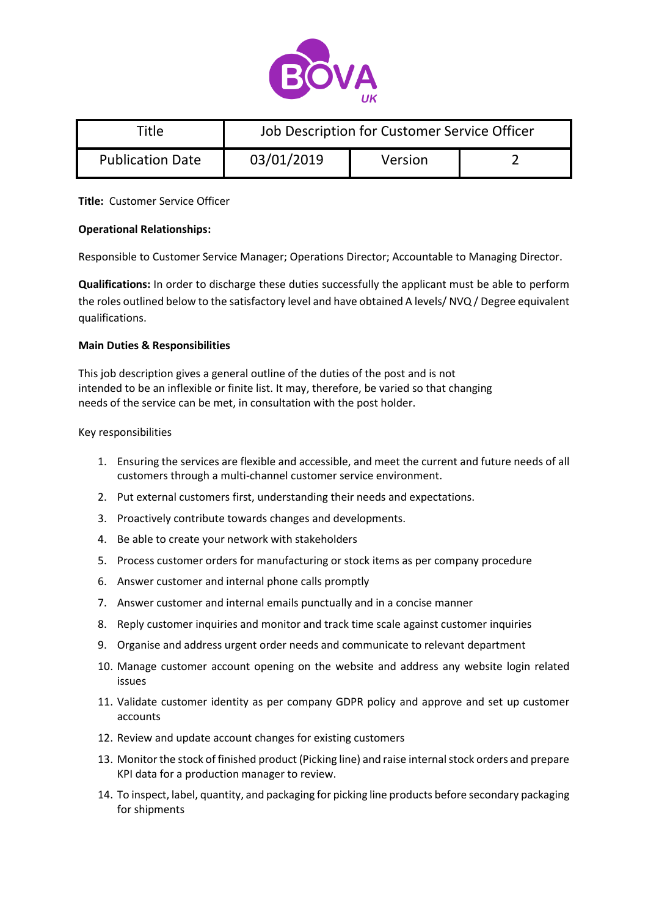

| Title                   | Job Description for Customer Service Officer |         |  |
|-------------------------|----------------------------------------------|---------|--|
| <b>Publication Date</b> | 03/01/2019                                   | Version |  |

## **Title:** Customer Service Officer

# **Operational Relationships:**

Responsible to Customer Service Manager; Operations Director; Accountable to Managing Director.

**Qualifications:** In order to discharge these duties successfully the applicant must be able to perform the roles outlined below to the satisfactory level and have obtained A levels/ NVQ / Degree equivalent qualifications.

#### **Main Duties & Responsibilities**

This job description gives a general outline of the duties of the post and is not intended to be an inflexible or finite list. It may, therefore, be varied so that changing needs of the service can be met, in consultation with the post holder.

#### Key responsibilities

- 1. Ensuring the services are flexible and accessible, and meet the current and future needs of all customers through a multi-channel customer service environment.
- 2. Put external customers first, understanding their needs and expectations.
- 3. Proactively contribute towards changes and developments.
- 4. Be able to create your network with stakeholders
- 5. Process customer orders for manufacturing or stock items as per company procedure
- 6. Answer customer and internal phone calls promptly
- 7. Answer customer and internal emails punctually and in a concise manner
- 8. Reply customer inquiries and monitor and track time scale against customer inquiries
- 9. Organise and address urgent order needs and communicate to relevant department
- 10. Manage customer account opening on the website and address any website login related issues
- 11. Validate customer identity as per company GDPR policy and approve and set up customer accounts
- 12. Review and update account changes for existing customers
- 13. Monitor the stock of finished product (Picking line) and raise internal stock orders and prepare KPI data for a production manager to review.
- 14. To inspect, label, quantity, and packaging for picking line products before secondary packaging for shipments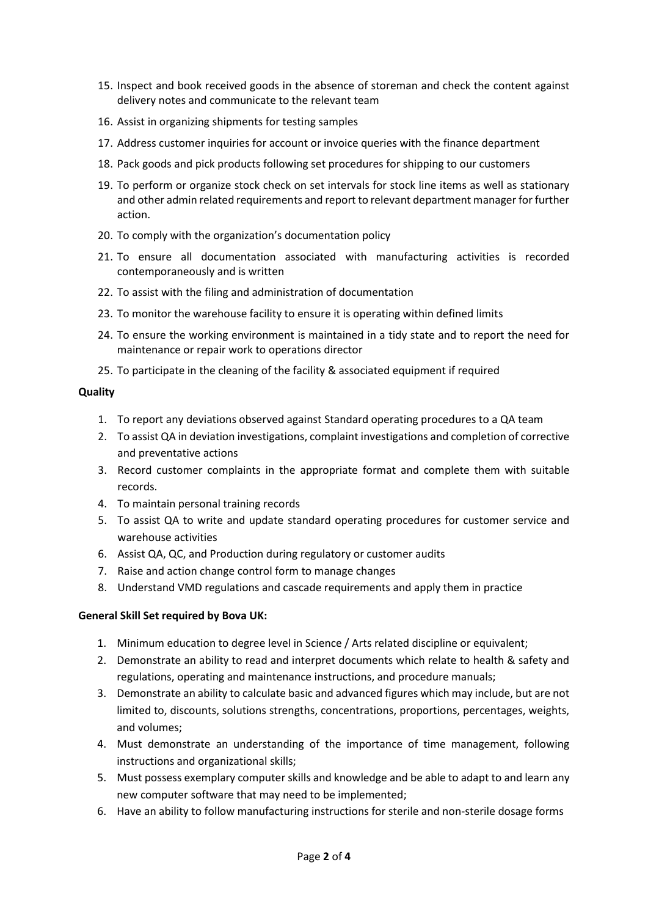- 15. Inspect and book received goods in the absence of storeman and check the content against delivery notes and communicate to the relevant team
- 16. Assist in organizing shipments for testing samples
- 17. Address customer inquiries for account or invoice queries with the finance department
- 18. Pack goods and pick products following set procedures for shipping to our customers
- 19. To perform or organize stock check on set intervals for stock line items as well as stationary and other admin related requirements and report to relevant department manager for further action.
- 20. To comply with the organization's documentation policy
- 21. To ensure all documentation associated with manufacturing activities is recorded contemporaneously and is written
- 22. To assist with the filing and administration of documentation
- 23. To monitor the warehouse facility to ensure it is operating within defined limits
- 24. To ensure the working environment is maintained in a tidy state and to report the need for maintenance or repair work to operations director
- 25. To participate in the cleaning of the facility & associated equipment if required

# **Quality**

- 1. To report any deviations observed against Standard operating procedures to a QA team
- 2. To assist QA in deviation investigations, complaint investigations and completion of corrective and preventative actions
- 3. Record customer complaints in the appropriate format and complete them with suitable records.
- 4. To maintain personal training records
- 5. To assist QA to write and update standard operating procedures for customer service and warehouse activities
- 6. Assist QA, QC, and Production during regulatory or customer audits
- 7. Raise and action change control form to manage changes
- 8. Understand VMD regulations and cascade requirements and apply them in practice

# **General Skill Set required by Bova UK:**

- 1. Minimum education to degree level in Science / Arts related discipline or equivalent;
- 2. Demonstrate an ability to read and interpret documents which relate to health & safety and regulations, operating and maintenance instructions, and procedure manuals;
- 3. Demonstrate an ability to calculate basic and advanced figures which may include, but are not limited to, discounts, solutions strengths, concentrations, proportions, percentages, weights, and volumes;
- 4. Must demonstrate an understanding of the importance of time management, following instructions and organizational skills;
- 5. Must possess exemplary computer skills and knowledge and be able to adapt to and learn any new computer software that may need to be implemented;
- 6. Have an ability to follow manufacturing instructions for sterile and non-sterile dosage forms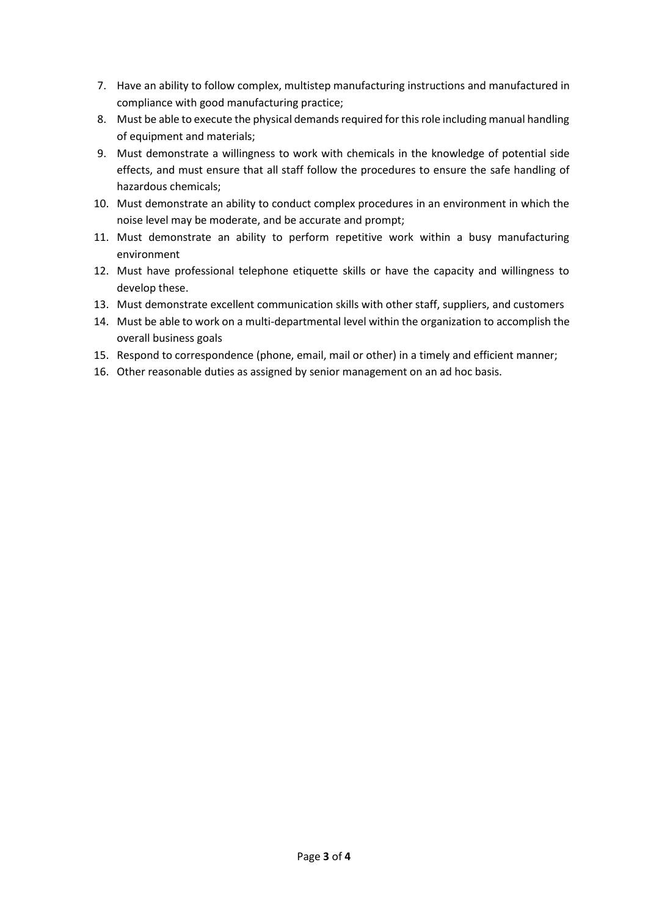- 7. Have an ability to follow complex, multistep manufacturing instructions and manufactured in compliance with good manufacturing practice;
- 8. Must be able to execute the physical demands required for this role including manual handling of equipment and materials;
- 9. Must demonstrate a willingness to work with chemicals in the knowledge of potential side effects, and must ensure that all staff follow the procedures to ensure the safe handling of hazardous chemicals;
- 10. Must demonstrate an ability to conduct complex procedures in an environment in which the noise level may be moderate, and be accurate and prompt;
- 11. Must demonstrate an ability to perform repetitive work within a busy manufacturing environment
- 12. Must have professional telephone etiquette skills or have the capacity and willingness to develop these.
- 13. Must demonstrate excellent communication skills with other staff, suppliers, and customers
- 14. Must be able to work on a multi-departmental level within the organization to accomplish the overall business goals
- 15. Respond to correspondence (phone, email, mail or other) in a timely and efficient manner;
- 16. Other reasonable duties as assigned by senior management on an ad hoc basis.